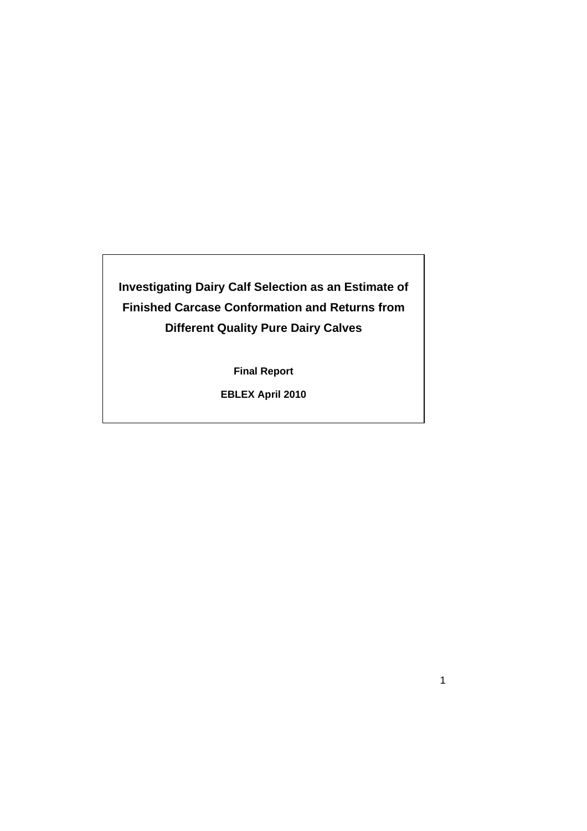# **Investigating Dairy Calf Selection as an Estimate of Finished Carcase Conformation and Returns from Different Quality Pure Dairy Calves**

**Final Report** 

**EBLEX April 2010** 

1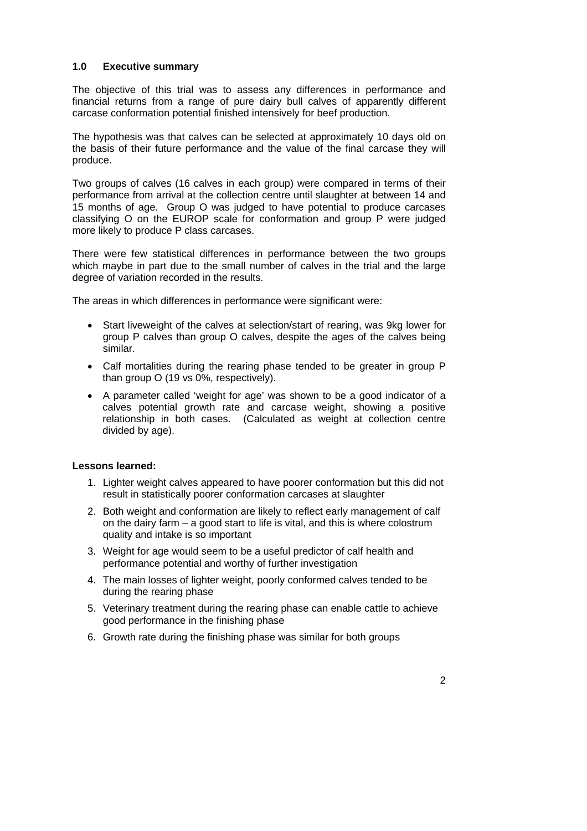#### **1.0 Executive summary**

The objective of this trial was to assess any differences in performance and financial returns from a range of pure dairy bull calves of apparently different carcase conformation potential finished intensively for beef production.

The hypothesis was that calves can be selected at approximately 10 days old on the basis of their future performance and the value of the final carcase they will produce.

Two groups of calves (16 calves in each group) were compared in terms of their performance from arrival at the collection centre until slaughter at between 14 and 15 months of age. Group O was judged to have potential to produce carcases classifying O on the EUROP scale for conformation and group P were judged more likely to produce P class carcases.

There were few statistical differences in performance between the two groups which maybe in part due to the small number of calves in the trial and the large degree of variation recorded in the results.

The areas in which differences in performance were significant were:

- Start liveweight of the calves at selection/start of rearing, was 9kg lower for group P calves than group O calves, despite the ages of the calves being similar.
- Calf mortalities during the rearing phase tended to be greater in group P than group O (19 vs 0%, respectively).
- A parameter called 'weight for age' was shown to be a good indicator of a calves potential growth rate and carcase weight, showing a positive relationship in both cases. (Calculated as weight at collection centre divided by age).

# **Lessons learned:**

- 1. Lighter weight calves appeared to have poorer conformation but this did not result in statistically poorer conformation carcases at slaughter
- 2. Both weight and conformation are likely to reflect early management of calf on the dairy farm – a good start to life is vital, and this is where colostrum quality and intake is so important
- 3. Weight for age would seem to be a useful predictor of calf health and performance potential and worthy of further investigation
- 4. The main losses of lighter weight, poorly conformed calves tended to be during the rearing phase
- 5. Veterinary treatment during the rearing phase can enable cattle to achieve good performance in the finishing phase
- 6. Growth rate during the finishing phase was similar for both groups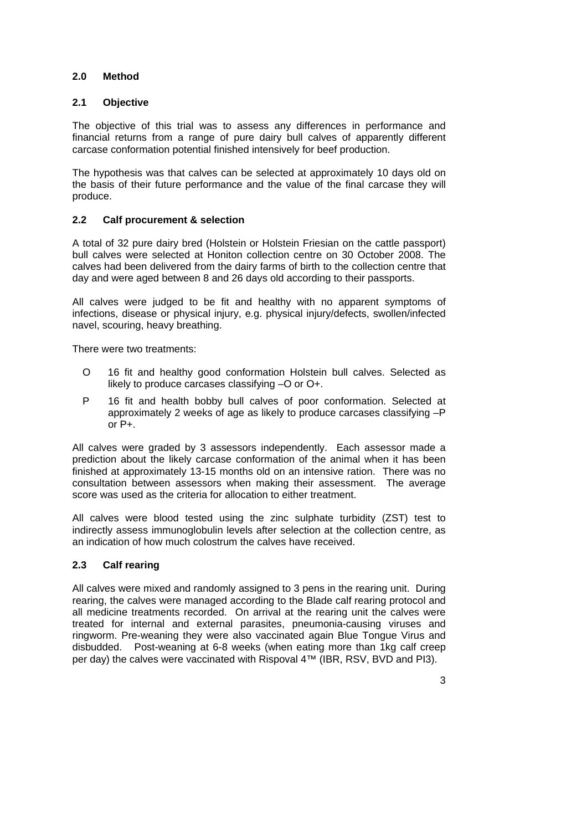# **2.0 Method**

#### **2.1 Objective**

The objective of this trial was to assess any differences in performance and financial returns from a range of pure dairy bull calves of apparently different carcase conformation potential finished intensively for beef production.

The hypothesis was that calves can be selected at approximately 10 days old on the basis of their future performance and the value of the final carcase they will produce.

# **2.2 Calf procurement & selection**

A total of 32 pure dairy bred (Holstein or Holstein Friesian on the cattle passport) bull calves were selected at Honiton collection centre on 30 October 2008. The calves had been delivered from the dairy farms of birth to the collection centre that day and were aged between 8 and 26 days old according to their passports.

All calves were judged to be fit and healthy with no apparent symptoms of infections, disease or physical injury, e.g. physical injury/defects, swollen/infected navel, scouring, heavy breathing.

There were two treatments:

- O 16 fit and healthy good conformation Holstein bull calves. Selected as likely to produce carcases classifying -O or O+.
- P 16 fit and health bobby bull calves of poor conformation. Selected at approximately 2 weeks of age as likely to produce carcases classifying –P or P+.

All calves were graded by 3 assessors independently. Each assessor made a prediction about the likely carcase conformation of the animal when it has been finished at approximately 13-15 months old on an intensive ration. There was no consultation between assessors when making their assessment. The average score was used as the criteria for allocation to either treatment.

All calves were blood tested using the zinc sulphate turbidity (ZST) test to indirectly assess immunoglobulin levels after selection at the collection centre, as an indication of how much colostrum the calves have received.

# **2.3 Calf rearing**

All calves were mixed and randomly assigned to 3 pens in the rearing unit. During rearing, the calves were managed according to the Blade calf rearing protocol and all medicine treatments recorded. On arrival at the rearing unit the calves were treated for internal and external parasites, pneumonia-causing viruses and ringworm. Pre-weaning they were also vaccinated again Blue Tongue Virus and disbudded. Post-weaning at 6-8 weeks (when eating more than 1kg calf creep per day) the calves were vaccinated with Rispoval 4™ (IBR, RSV, BVD and PI3).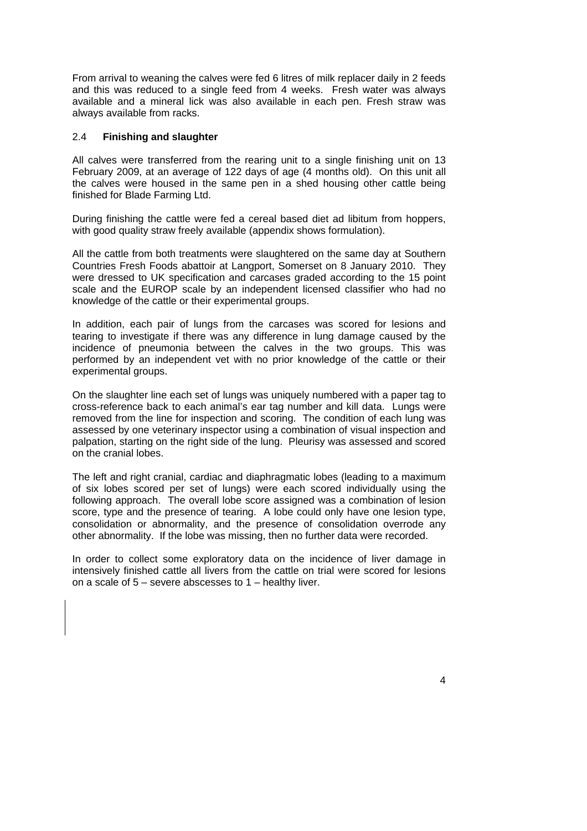From arrival to weaning the calves were fed 6 litres of milk replacer daily in 2 feeds and this was reduced to a single feed from 4 weeks. Fresh water was always available and a mineral lick was also available in each pen. Fresh straw was always available from racks.

#### 2.4 **Finishing and slaughter**

All calves were transferred from the rearing unit to a single finishing unit on 13 February 2009, at an average of 122 days of age (4 months old). On this unit all the calves were housed in the same pen in a shed housing other cattle being finished for Blade Farming Ltd.

During finishing the cattle were fed a cereal based diet ad libitum from hoppers, with good quality straw freely available (appendix shows formulation).

All the cattle from both treatments were slaughtered on the same day at Southern Countries Fresh Foods abattoir at Langport, Somerset on 8 January 2010. They were dressed to UK specification and carcases graded according to the 15 point scale and the EUROP scale by an independent licensed classifier who had no knowledge of the cattle or their experimental groups.

In addition, each pair of lungs from the carcases was scored for lesions and tearing to investigate if there was any difference in lung damage caused by the incidence of pneumonia between the calves in the two groups. This was performed by an independent vet with no prior knowledge of the cattle or their experimental groups.

On the slaughter line each set of lungs was uniquely numbered with a paper tag to cross-reference back to each animal's ear tag number and kill data. Lungs were removed from the line for inspection and scoring. The condition of each lung was assessed by one veterinary inspector using a combination of visual inspection and palpation, starting on the right side of the lung. Pleurisy was assessed and scored on the cranial lobes.

The left and right cranial, cardiac and diaphragmatic lobes (leading to a maximum of six lobes scored per set of lungs) were each scored individually using the following approach. The overall lobe score assigned was a combination of lesion score, type and the presence of tearing. A lobe could only have one lesion type, consolidation or abnormality, and the presence of consolidation overrode any other abnormality. If the lobe was missing, then no further data were recorded.

In order to collect some exploratory data on the incidence of liver damage in intensively finished cattle all livers from the cattle on trial were scored for lesions on a scale of 5 – severe abscesses to 1 – healthy liver.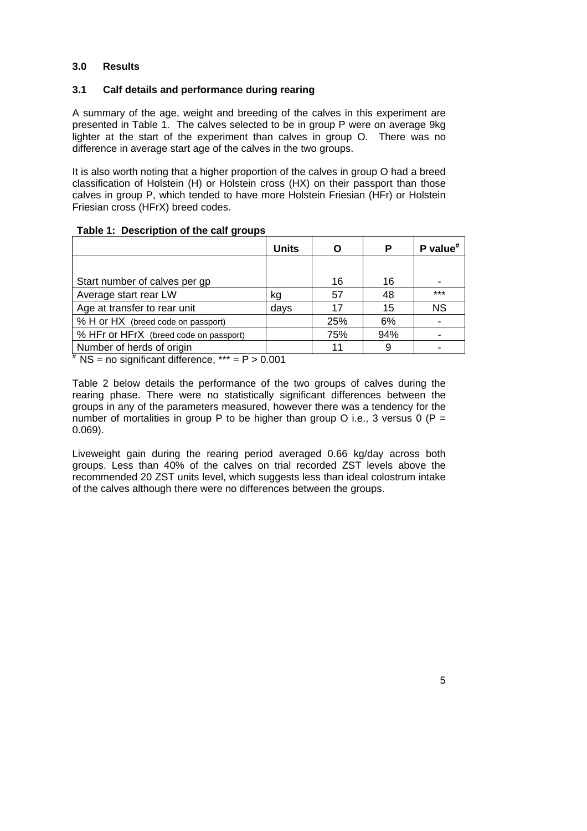#### **3.0 Results**

#### **3.1 Calf details and performance during rearing**

A summary of the age, weight and breeding of the calves in this experiment are presented in Table 1. The calves selected to be in group P were on average 9kg lighter at the start of the experiment than calves in group O. There was no difference in average start age of the calves in the two groups.

It is also worth noting that a higher proportion of the calves in group O had a breed classification of Holstein (H) or Holstein cross (HX) on their passport than those calves in group P, which tended to have more Holstein Friesian (HFr) or Holstein Friesian cross (HFrX) breed codes.

#### **Table 1: Description of the calf groups**

|                                          | <b>Units</b> | O   | Р   | P value $*$ |
|------------------------------------------|--------------|-----|-----|-------------|
|                                          |              |     |     |             |
| Start number of calves per gp            |              | 16  | 16  |             |
| Average start rear LW                    | kg           | 57  | 48  | $***$       |
| Age at transfer to rear unit             | days         | 17  | 15  | <b>NS</b>   |
| % H or HX (breed code on passport)       |              | 25% | 6%  |             |
| % HFr or HFrX (breed code on passport)   |              | 75% | 94% |             |
| Number of herds of origin<br>$+ \cdot -$ |              | 11  | 9   |             |

 $*$  NS = no significant difference,  $***$  = P > 0.001

Table 2 below details the performance of the two groups of calves during the rearing phase. There were no statistically significant differences between the groups in any of the parameters measured, however there was a tendency for the number of mortalities in group P to be higher than group O i.e., 3 versus 0 (P = 0.069).

Liveweight gain during the rearing period averaged 0.66 kg/day across both groups. Less than 40% of the calves on trial recorded ZST levels above the recommended 20 ZST units level, which suggests less than ideal colostrum intake of the calves although there were no differences between the groups.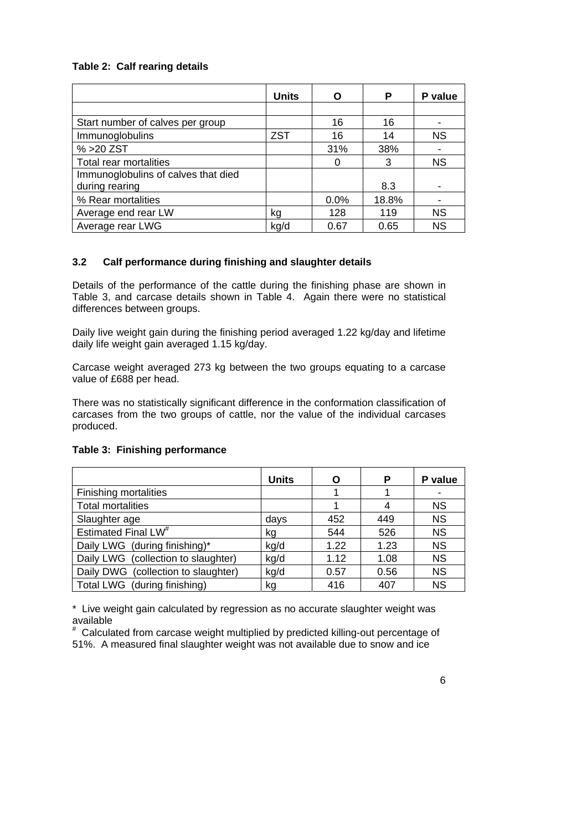# **Table 2: Calf rearing details**

|                                     | <b>Units</b> | O    | P     | P value   |
|-------------------------------------|--------------|------|-------|-----------|
|                                     |              |      |       |           |
| Start number of calves per group    |              | 16   | 16    |           |
| Immunoglobulins                     | <b>ZST</b>   | 16   | 14    | <b>NS</b> |
| % > 20 ZST                          |              | 31%  | 38%   |           |
| Total rear mortalities              |              | 0    | 3     | <b>NS</b> |
| Immunoglobulins of calves that died |              |      |       |           |
| during rearing                      |              |      | 8.3   |           |
| % Rear mortalities                  |              | 0.0% | 18.8% |           |
| Average end rear LW                 | kg           | 128  | 119   | <b>NS</b> |
| Average rear LWG                    | kg/d         | 0.67 | 0.65  | <b>NS</b> |

# **3.2 Calf performance during finishing and slaughter details**

Details of the performance of the cattle during the finishing phase are shown in Table 3, and carcase details shown in Table 4. Again there were no statistical differences between groups.

Daily live weight gain during the finishing period averaged 1.22 kg/day and lifetime daily life weight gain averaged 1.15 kg/day.

Carcase weight averaged 273 kg between the two groups equating to a carcase value of £688 per head.

There was no statistically significant difference in the conformation classification of carcases from the two groups of cattle, nor the value of the individual carcases produced.

|                                     | <b>Units</b> | O    | P    | P value   |
|-------------------------------------|--------------|------|------|-----------|
| <b>Finishing mortalities</b>        |              |      |      |           |
| <b>Total mortalities</b>            |              |      | 4    | <b>NS</b> |
| Slaughter age                       | days         | 452  | 449  | <b>NS</b> |
| Estimated Final LW <sup>#</sup>     | kg           | 544  | 526  | <b>NS</b> |
| Daily LWG (during finishing)*       | kg/d         | 1.22 | 1.23 | <b>NS</b> |
| Daily LWG (collection to slaughter) | kg/d         | 1.12 | 1.08 | <b>NS</b> |
| Daily DWG (collection to slaughter) | kg/d         | 0.57 | 0.56 | <b>NS</b> |
| Total LWG (during finishing)        | kg           | 416  | 407  | <b>NS</b> |

# **Table 3: Finishing performance**

\* Live weight gain calculated by regression as no accurate slaughter weight was available

# Calculated from carcase weight multiplied by predicted killing-out percentage of 51%. A measured final slaughter weight was not available due to snow and ice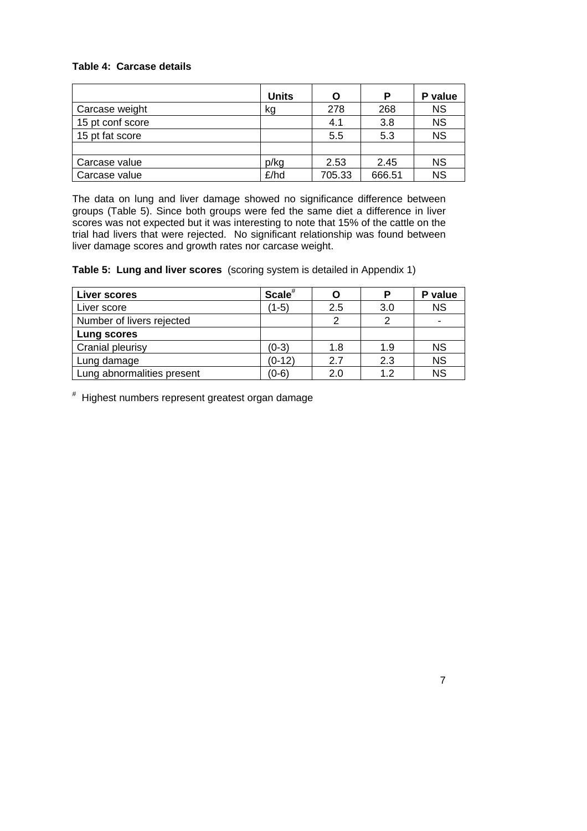# **Table 4: Carcase details**

|                  | <b>Units</b> | O      | Р      | P value   |
|------------------|--------------|--------|--------|-----------|
| Carcase weight   | kg           | 278    | 268    | <b>NS</b> |
| 15 pt conf score |              | 4.1    | 3.8    | <b>NS</b> |
| 15 pt fat score  |              | 5.5    | 5.3    | <b>NS</b> |
|                  |              |        |        |           |
| Carcase value    | p/kg         | 2.53   | 2.45   | <b>NS</b> |
| Carcase value    | £/hd         | 705.33 | 666.51 | <b>NS</b> |

The data on lung and liver damage showed no significance difference between groups (Table 5). Since both groups were fed the same diet a difference in liver scores was not expected but it was interesting to note that 15% of the cattle on the trial had livers that were rejected. No significant relationship was found between liver damage scores and growth rates nor carcase weight.

**Table 5: Lung and liver scores** (scoring system is detailed in Appendix 1)

| Liver scores               | Scale <sup>#</sup> | O   |     | P value   |
|----------------------------|--------------------|-----|-----|-----------|
| Liver score                | (1-5)              | 2.5 | 3.0 | <b>NS</b> |
| Number of livers rejected  |                    | 2   |     |           |
| Lung scores                |                    |     |     |           |
| Cranial pleurisy           | $(0-3)$            | 1.8 | 1.9 | <b>NS</b> |
| Lung damage                | $(0-12)$           | 2.7 | 2.3 | <b>NS</b> |
| Lung abnormalities present | (0-6)              | 2.0 | 1.2 | <b>NS</b> |

# Highest numbers represent greatest organ damage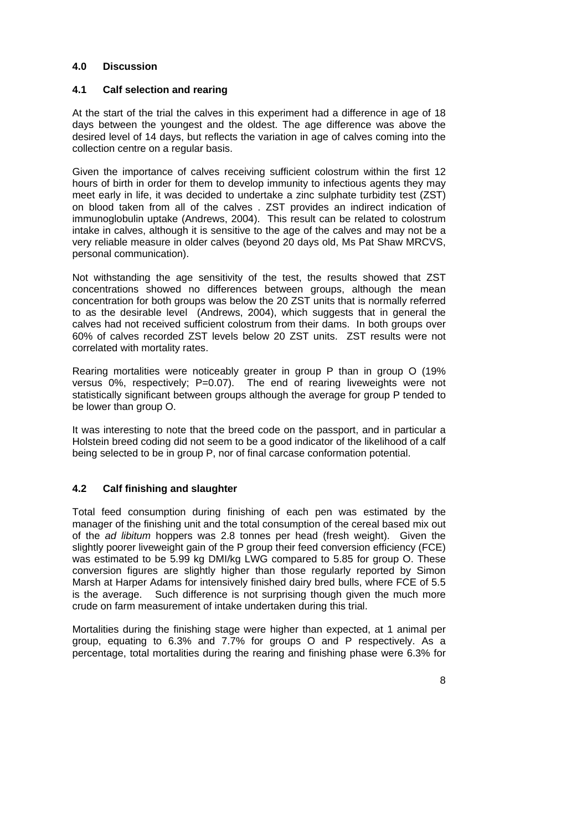#### **4.0 Discussion**

#### **4.1 Calf selection and rearing**

At the start of the trial the calves in this experiment had a difference in age of 18 days between the youngest and the oldest. The age difference was above the desired level of 14 days, but reflects the variation in age of calves coming into the collection centre on a regular basis.

Given the importance of calves receiving sufficient colostrum within the first 12 hours of birth in order for them to develop immunity to infectious agents they may meet early in life, it was decided to undertake a zinc sulphate turbidity test (ZST) on blood taken from all of the calves . ZST provides an indirect indication of immunoglobulin uptake (Andrews, 2004). This result can be related to colostrum intake in calves, although it is sensitive to the age of the calves and may not be a very reliable measure in older calves (beyond 20 days old, Ms Pat Shaw MRCVS, personal communication).

Not withstanding the age sensitivity of the test, the results showed that ZST concentrations showed no differences between groups, although the mean concentration for both groups was below the 20 ZST units that is normally referred to as the desirable level (Andrews, 2004), which suggests that in general the calves had not received sufficient colostrum from their dams. In both groups over 60% of calves recorded ZST levels below 20 ZST units. ZST results were not correlated with mortality rates.

Rearing mortalities were noticeably greater in group P than in group O (19% versus 0%, respectively; P=0.07). The end of rearing liveweights were not statistically significant between groups although the average for group P tended to be lower than group O.

It was interesting to note that the breed code on the passport, and in particular a Holstein breed coding did not seem to be a good indicator of the likelihood of a calf being selected to be in group P, nor of final carcase conformation potential.

# **4.2 Calf finishing and slaughter**

Total feed consumption during finishing of each pen was estimated by the manager of the finishing unit and the total consumption of the cereal based mix out of the *ad libitum* hoppers was 2.8 tonnes per head (fresh weight). Given the slightly poorer liveweight gain of the P group their feed conversion efficiency (FCE) was estimated to be 5.99 kg DMI/kg LWG compared to 5.85 for group O. These conversion figures are slightly higher than those regularly reported by Simon Marsh at Harper Adams for intensively finished dairy bred bulls, where FCE of 5.5 is the average. Such difference is not surprising though given the much more crude on farm measurement of intake undertaken during this trial.

Mortalities during the finishing stage were higher than expected, at 1 animal per group, equating to 6.3% and 7.7% for groups O and P respectively. As a percentage, total mortalities during the rearing and finishing phase were 6.3% for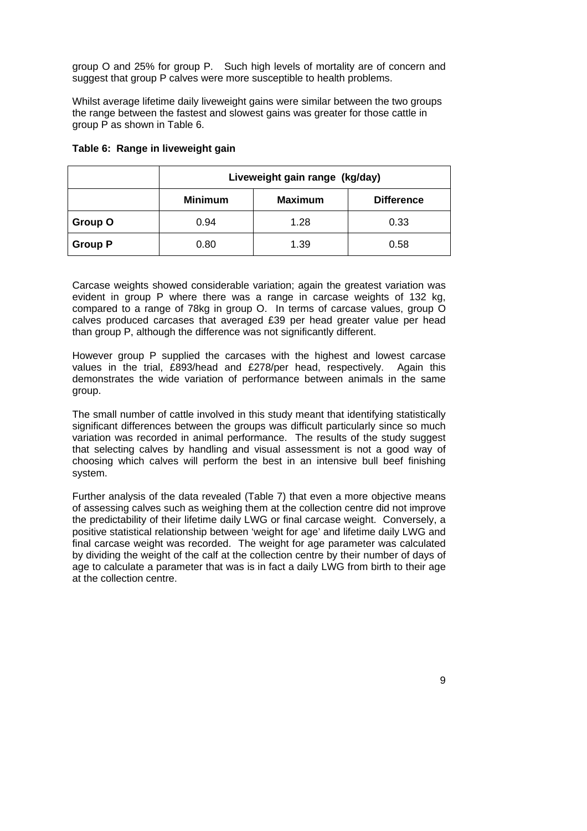group O and 25% for group P. Such high levels of mortality are of concern and suggest that group P calves were more susceptible to health problems.

Whilst average lifetime daily liveweight gains were similar between the two groups the range between the fastest and slowest gains was greater for those cattle in group P as shown in Table 6.

|                | Liveweight gain range (kg/day) |                |                   |
|----------------|--------------------------------|----------------|-------------------|
|                | <b>Minimum</b>                 | <b>Maximum</b> | <b>Difference</b> |
| <b>Group O</b> | 0.94                           | 1.28           | 0.33              |
| <b>Group P</b> | 0.80                           | 1.39           | 0.58              |

#### **Table 6: Range in liveweight gain**

Carcase weights showed considerable variation; again the greatest variation was evident in group P where there was a range in carcase weights of 132 kg, compared to a range of 78kg in group O. In terms of carcase values, group O calves produced carcases that averaged £39 per head greater value per head than group P, although the difference was not significantly different.

However group P supplied the carcases with the highest and lowest carcase values in the trial, £893/head and £278/per head, respectively. Again this demonstrates the wide variation of performance between animals in the same group.

The small number of cattle involved in this study meant that identifying statistically significant differences between the groups was difficult particularly since so much variation was recorded in animal performance. The results of the study suggest that selecting calves by handling and visual assessment is not a good way of choosing which calves will perform the best in an intensive bull beef finishing system.

Further analysis of the data revealed (Table 7) that even a more objective means of assessing calves such as weighing them at the collection centre did not improve the predictability of their lifetime daily LWG or final carcase weight. Conversely, a positive statistical relationship between 'weight for age' and lifetime daily LWG and final carcase weight was recorded. The weight for age parameter was calculated by dividing the weight of the calf at the collection centre by their number of days of age to calculate a parameter that was is in fact a daily LWG from birth to their age at the collection centre.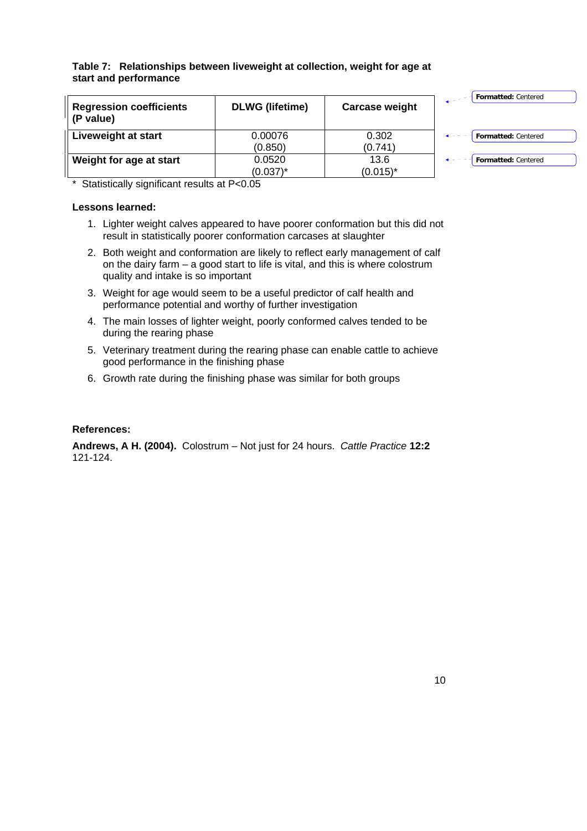**Table 7: Relationships between liveweight at collection, weight for age at start and performance** 

| <b>Regression coefficients</b><br>(P value) | <b>DLWG</b> (lifetime) | <b>Carcase weight</b> | <b>Formatted: Centered</b> |
|---------------------------------------------|------------------------|-----------------------|----------------------------|
| Liveweight at start                         | 0.00076                | 0.302                 | Formatted: Centered        |
|                                             | (0.850)                | (0.741)               |                            |
| Weight for age at start                     | 0.0520                 | 13.6                  | Formatted: Centered        |
|                                             | $(0.037)^*$            | $(0.015)^*$           |                            |

\* Statistically significant results at P<0.05

#### **Lessons learned:**

- 1. Lighter weight calves appeared to have poorer conformation but this did not result in statistically poorer conformation carcases at slaughter
- 2. Both weight and conformation are likely to reflect early management of calf on the dairy farm – a good start to life is vital, and this is where colostrum quality and intake is so important
- 3. Weight for age would seem to be a useful predictor of calf health and performance potential and worthy of further investigation
- 4. The main losses of lighter weight, poorly conformed calves tended to be during the rearing phase
- 5. Veterinary treatment during the rearing phase can enable cattle to achieve good performance in the finishing phase
- 6. Growth rate during the finishing phase was similar for both groups

# **References:**

**Andrews, A H. (2004).** Colostrum – Not just for 24 hours. *Cattle Practice* **12:2** 121-124.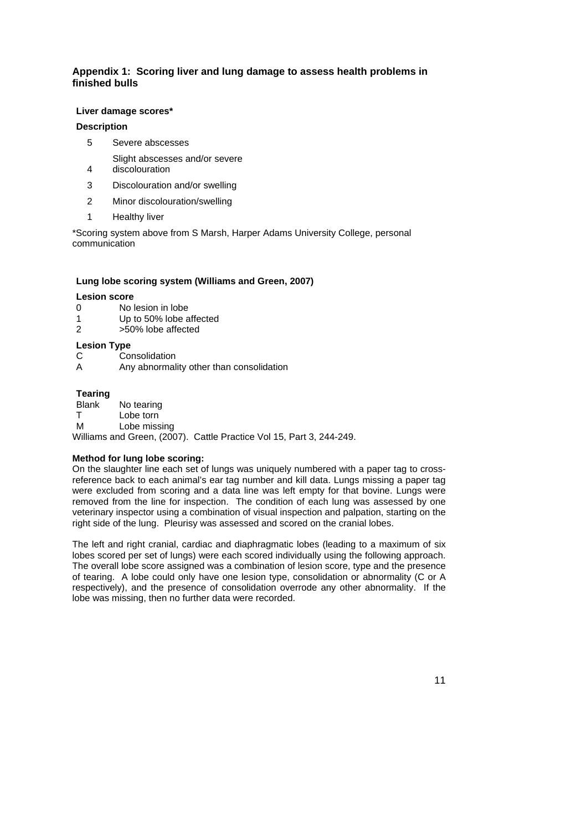# **Appendix 1: Scoring liver and lung damage to assess health problems in finished bulls**

#### **Liver damage scores\***

#### **Description**

5 Severe abscesses

Slight abscesses and/or severe

- 4 discolouration
- 3 Discolouration and/or swelling
- 2 Minor discolouration/swelling
- 1 Healthy liver

\*Scoring system above from S Marsh, Harper Adams University College, personal communication

#### **Lung lobe scoring system (Williams and Green, 2007)**

#### **Lesion score**

- 0 No lesion in lobe
- 1 Up to 50% lobe affected
- 2 >50% lobe affected

#### **Lesion Type**

- C Consolidation<br>A Any abnormal
- Any abnormality other than consolidation

#### **Tearing**

Blank No tearing T Lobe torn M Lobe missing

Williams and Green, (2007). Cattle Practice Vol 15, Part 3, 244-249.

# **Method for lung lobe scoring:**

On the slaughter line each set of lungs was uniquely numbered with a paper tag to crossreference back to each animal's ear tag number and kill data. Lungs missing a paper tag were excluded from scoring and a data line was left empty for that bovine. Lungs were removed from the line for inspection. The condition of each lung was assessed by one veterinary inspector using a combination of visual inspection and palpation, starting on the right side of the lung. Pleurisy was assessed and scored on the cranial lobes.

The left and right cranial, cardiac and diaphragmatic lobes (leading to a maximum of six lobes scored per set of lungs) were each scored individually using the following approach. The overall lobe score assigned was a combination of lesion score, type and the presence of tearing. A lobe could only have one lesion type, consolidation or abnormality (C or A respectively), and the presence of consolidation overrode any other abnormality. If the lobe was missing, then no further data were recorded.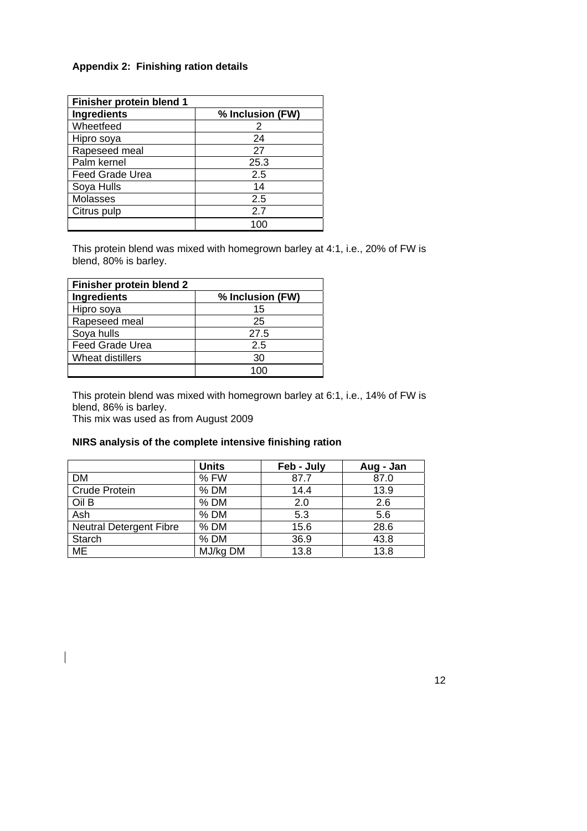# **Appendix 2: Finishing ration details**

| Finisher protein blend 1 |                  |
|--------------------------|------------------|
| Ingredients              | % Inclusion (FW) |
| Wheetfeed                | 2                |
| Hipro soya               | 24               |
| Rapeseed meal            | 27               |
| Palm kernel              | 25.3             |
| <b>Feed Grade Urea</b>   | 2.5              |
| Soya Hulls               | 14               |
| Molasses                 | 2.5              |
| Citrus pulp              | 2.7              |
|                          |                  |

This protein blend was mixed with homegrown barley at 4:1, i.e., 20% of FW is blend, 80% is barley.

| Finisher protein blend 2 |                  |
|--------------------------|------------------|
| <b>Ingredients</b>       | % Inclusion (FW) |
| Hipro soya               | 15               |
| Rapeseed meal            | 25               |
| Soya hulls               | 27.5             |
| <b>Feed Grade Urea</b>   | 2.5              |
| Wheat distillers         | 30               |
|                          |                  |

This protein blend was mixed with homegrown barley at 6:1, i.e., 14% of FW is blend, 86% is barley.

This mix was used as from August 2009

 $\overline{\phantom{a}}$ 

# **NIRS analysis of the complete intensive finishing ration**

|                                | <b>Units</b> | Feb - July | Aug - Jan |
|--------------------------------|--------------|------------|-----------|
| <b>DM</b>                      | % FW         | 87.7       | 87.0      |
| <b>Crude Protein</b>           | $%$ DM       | 14.4       | 13.9      |
| Oil B                          | $%$ DM       | 2.0        | 2.6       |
| Ash                            | $%$ DM       | 5.3        | 5.6       |
| <b>Neutral Detergent Fibre</b> | $%$ DM       | 15.6       | 28.6      |
| Starch                         | $%$ DM       | 36.9       | 43.8      |
| ME                             | MJ/kg DM     | 13.8       | 13.8      |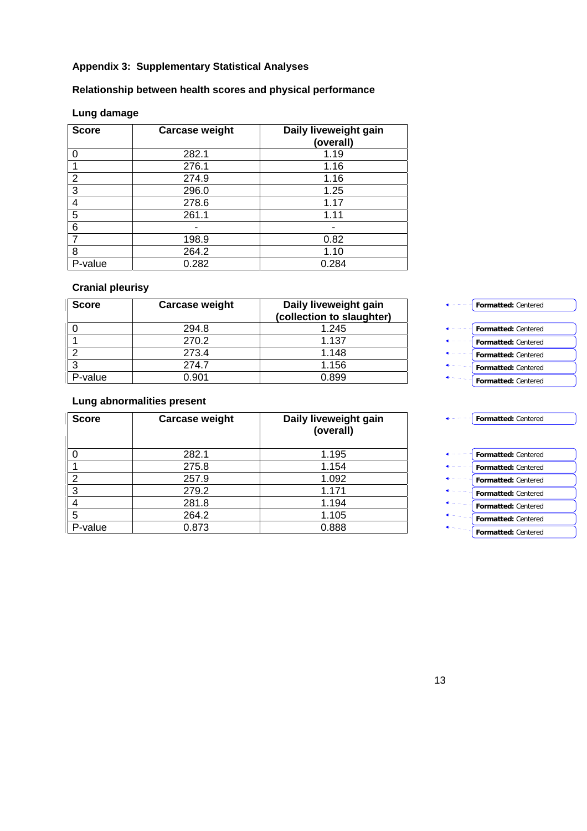# **Appendix 3: Supplementary Statistical Analyses**

# **Relationship between health scores and physical performance**

# **Lung damage**

| <b>Score</b> | <b>Carcase weight</b> | Daily liveweight gain<br>(overall) |
|--------------|-----------------------|------------------------------------|
|              | 282.1                 | 1.19                               |
|              | 276.1                 | 1.16                               |
| 2            | 274.9                 | 1.16                               |
| 3            | 296.0                 | 1.25                               |
| 4            | 278.6                 | 1.17                               |
| 5            | 261.1                 | 1.11                               |
| 6            |                       |                                    |
|              | 198.9                 | 0.82                               |
| 8            | 264.2                 | 1.10                               |
| P-value      | 0.282                 | 0.284                              |

# **Cranial pleurisy**

| <b>Score</b> | <b>Carcase weight</b> | Daily liveweight gain<br>(collection to slaughter) |
|--------------|-----------------------|----------------------------------------------------|
|              | 294.8                 | 1.245                                              |
|              | 270.2                 | 1.137                                              |
|              | 273.4                 | 1.148                                              |
|              | 274.7                 | 1.156                                              |
| -value       | N 901                 | Ი 899                                              |

# **Lung abnormalities present**

| <b>Score</b> | <b>Carcase weight</b> | Daily liveweight gain<br>(overall) |
|--------------|-----------------------|------------------------------------|
|              | 282.1                 | 1.195                              |
|              | 275.8                 | 1.154                              |
| 2            | 257.9                 | 1.092                              |
| 3            | 279.2                 | 1.171                              |
|              | 281.8                 | 1.194                              |
| 5            | 264.2                 | 1.105                              |
| P-value      | 0.873                 | 0.888                              |

| <b>Formatted: Centered</b> |
|----------------------------|
| <b>Formatted: Centered</b> |
| <b>Formatted: Centered</b> |
| <b>Formatted: Centered</b> |
| <b>Formatted: Centered</b> |
| <b>Formatted: Centered</b> |
| Formatted: Centered        |
| <b>Formatted: Centered</b> |
| <b>Formatted: Centered</b> |
| <b>Formatted:</b> Centered |

**Formatted:** Centered **Formatted:** Centered **Formatted:** Centered

**Formatted:** Centered